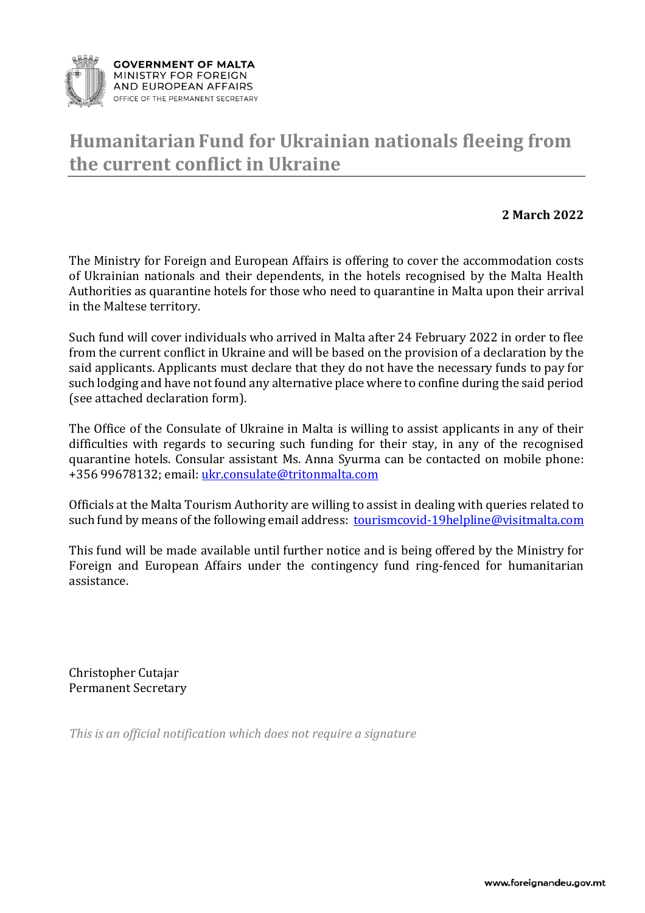

## **HumanitarianFund for Ukrainian nationals fleeing from the current conflict in Ukraine**

## **2 March 2022**

The Ministry for Foreign and European Affairs is offering to cover the accommodation costs of Ukrainian nationals and their dependents, in the hotels recognised by the Malta Health Authorities as quarantine hotels for those who need to quarantine in Malta upon their arrival in the Maltese territory.

Such fund will cover individuals who arrived in Malta after 24 February 2022 in order to flee from the current conflict in Ukraine and will be based on the provision of a declaration by the said applicants. Applicants must declare that they do not have the necessary funds to pay for such lodging and have not found any alternative place where to confine during the said period (see attached declaration form).

The Office of the Consulate of Ukraine in Malta is willing to assist applicants in any of their difficulties with regards to securing such funding for their stay, in any of the recognised quarantine hotels. Consular assistant Ms. Anna Syurma can be contacted on mobile phone: +356 99678132; email: [ukr.consulate@tritonmalta.com](mailto:ukr.consulate@tritonmalta.com) 

Officials at the Malta Tourism Authority are willing to assist in dealing with queries related to such fund by means of the following email address: [tourismcovid-19helpline@visitmalta.com](mailto:tourismcovid-19helpline@visitmalta.com)

This fund will be made available until further notice and is being offered by the Ministry for Foreign and European Affairs under the contingency fund ring-fenced for humanitarian assistance.

Christopher Cutajar Permanent Secretary

*This is an official notification which does not require a signature*